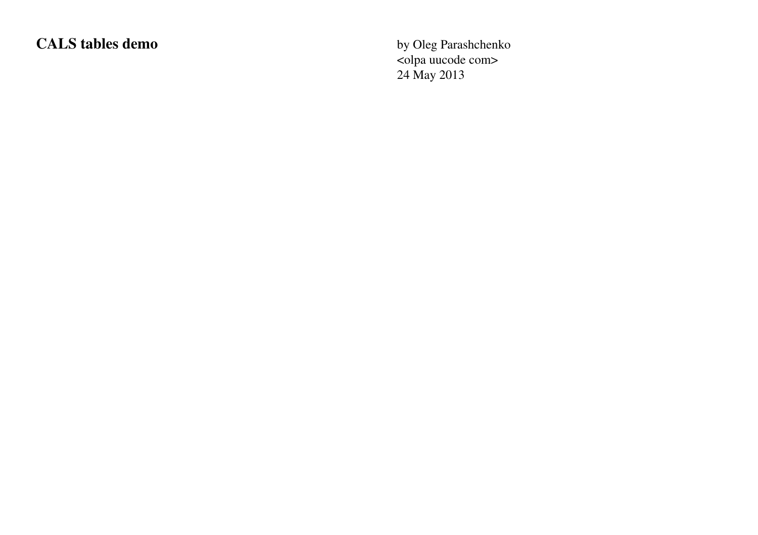# CALS tables demo<br>
by Oleg Parashchenko

<olpa uucode com> 24 May 2013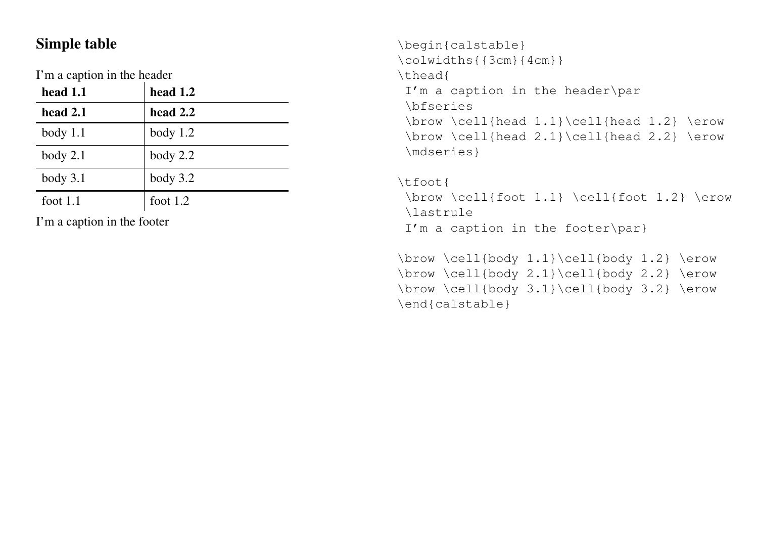#### Simple table

I'm a caption in the header

| head 1.1   | head $1.2$ |
|------------|------------|
| head 2.1   | head 2.2   |
| $body$ 1.1 | body $1.2$ |
| body 2.1   | body $2.2$ |
| body 3.1   | body $3.2$ |
| foot $1.1$ | foot $1.2$ |

I'm a caption in the footer

```
\begin{calstable}
\colwidths{{3cm}{4cm}}
\thead{
 I'm a caption in the header\par
 \bfseries
 \brow \cell{head 1.1}\cell{head 1.2} \erow
 \brow \cell{head 2.1}\cell{head 2.2} \erow
 \mdseries}
```

```
\tfoot{
 \brow \cell{foot 1.1} \cell{foot 1.2} \erow
\lastrule
 I'm a caption in the footer\par}
```

```
\brow \cell{body 1.1}\cell{body 1.2} \erow
\brow \cell{body 2.1}\cell{body 2.2} \erow
\brow \cell{body 3.1}\cell{body 3.2} \erow
\end{calstable}
```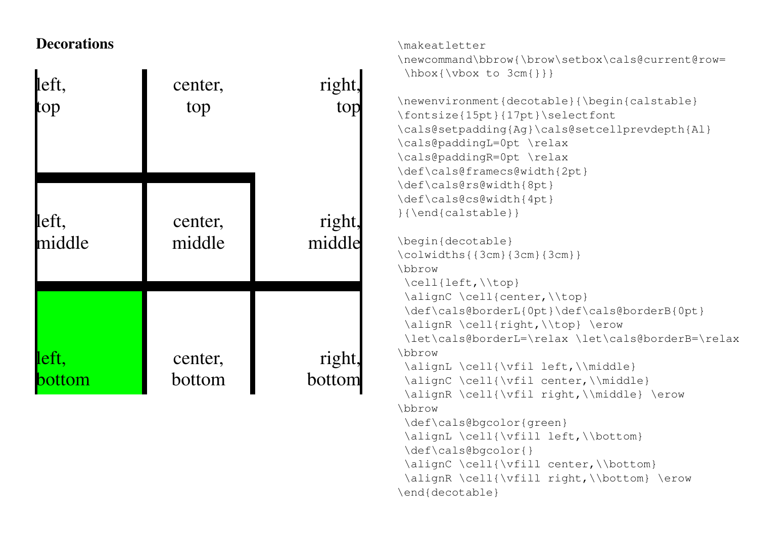### **Decorations**

| left,  | center, | right  |  |
|--------|---------|--------|--|
| top    | top     | top    |  |
| left,  | center, | right, |  |
| middle | middle  | middle |  |
| left,  | center, | right. |  |
| bottom | bottom  | bottom |  |

```
\makeatletter
```
\newcommand\bbrow{\brow\setbox\cals@current@row= \hbox{\vbox to 3cm{}}}

```
\newenvironment{decotable}{\begin{calstable}
\fontsize{15pt}{17pt}\selectfont
\cals@setpadding{Ag}\cals@setcellprevdepth{Al}
\cals@paddingL=0pt \relax
\cals@paddingR=0pt \relax
\def\cals@framecs@width{2pt}
\def\cals@rs@width{8pt}
\def\cals@cs@width{4pt}
}{\end{calstable}}
```

```
\begin{decotable}
\colwidths{{3cm}{3cm}{3cm}}
\bbrow
\cell{left,\\top}
\alignC \cell{center,\\top}
\def\cals@borderL{0pt}\def\cals@borderB{0pt}
\alignR \cell{right,\\top} \erow
\let\cals@borderL=\relax \let\cals@borderB=\relax
\bbrow
\alignL \cell{\vfil left,\\middle}
\alignC \cell{\vfil center,\\middle}
\alignR \cell{\vfil right,\\middle} \erow
\bbrow
\def\cals@bgcolor{green}
\alignL \cell{\vfill left,\\bottom}
\def\cals@bgcolor{}
\alignC \cell{\vfill center,\\bottom}
\alignR \cell{\vfill right,\\bottom} \erow
```

```
\end{decotable}
```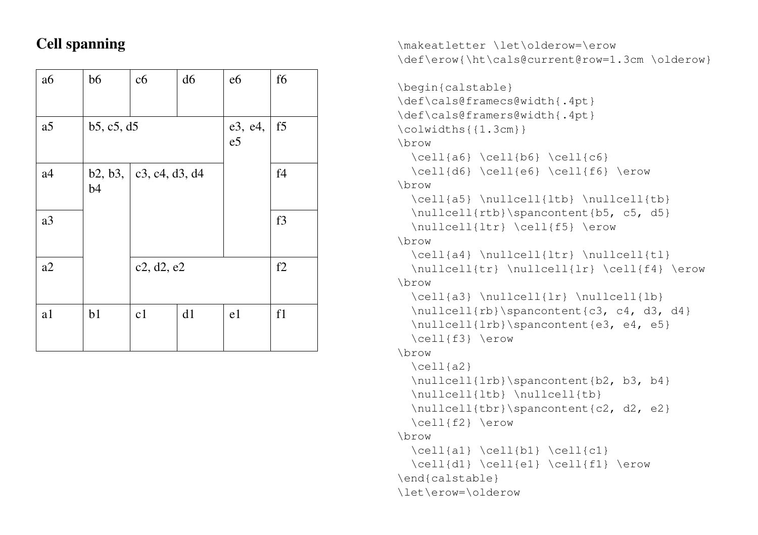## Cell spanning

| a6             | b6         | c6                 | d6            | e6             | f6 |
|----------------|------------|--------------------|---------------|----------------|----|
| a5             | b5, c5, d5 |                    | e3, e4,<br>e5 | f <sub>5</sub> |    |
| a <sub>4</sub> | b4         | b2, b3, c4, d3, d4 |               |                | f4 |
| a3             |            |                    |               |                | f3 |
| a2             |            | c2, d2, e2         |               |                | f2 |
| a1             | b1         | c1                 | d1            | e1             | f1 |

```
\makeatletter \let\olderow=\erow
\def\erow{\ht\cals@current@row=1.3cm \olderow}
```

```
\begin{calstable}
\def\cals@framecs@width{.4pt}
\def\cals@framers@width{.4pt}
\colwidths{{1.3cm}}
\brow
 \ceil{a6} \cdot \ceil \{c6\}\cell{d6} \cell{e6} \cell{f6} \erow
\brow
 \cell{a5} \nullcell{ltb} \nullcell{tb}
 \nullcell{rtb}\spancontent{b5, c5, d5}
 \nullcell{ltr} \cell{f5} \erow
\brow
 \cell{a4} \nullcell{ltr} \nullcell{tl}
 \nullcell{tr} \nullcell{lr} \cell{f4} \erow
\brow
 \cell{a3} \nullcell{lr} \nullcell{lb}
 \nullcell{rb}\spancontent{c3, c4, d3, d4}
 \nullcell{lrb}\spancontent{e3, e4, e5}
 \cell{f3} \erow
\brow
 \cell{a2}
 \nullcell{lrb}\spancontent{b2, b3, b4}
 \nullcell{ltb} \nullcell{tb}
 \nullcell{tbr}\spancontent{c2, d2, e2}
 \cell{f2} \erow
\brow
 \cel1{a1} \cel1{b1} \cel1{c1}\cell{d1} \cell{e1} \cell{f1} \erow
\end{calstable}
\let\erow=\olderow
```